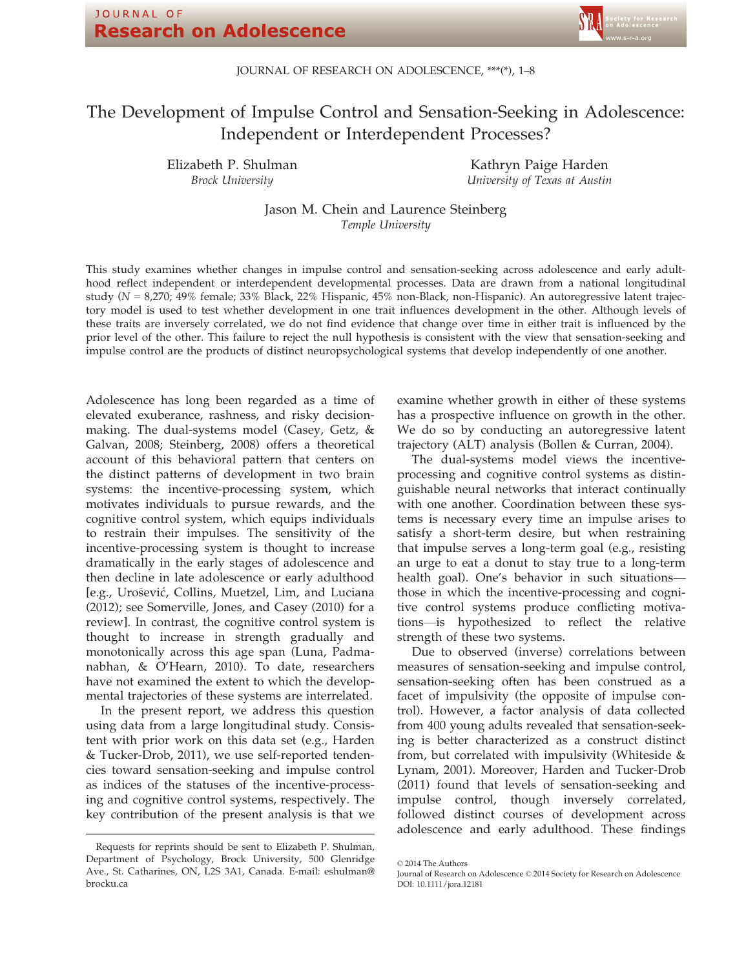

JOURNAL OF RESEARCH ON ADOLESCENCE, \*\*\*(\*), 1–8

# The Development of Impulse Control and Sensation-Seeking in Adolescence: Independent or Interdependent Processes?

Elizabeth P. Shulman Brock University

Kathryn Paige Harden University of Texas at Austin

Jason M. Chein and Laurence Steinberg Temple University

This study examines whether changes in impulse control and sensation-seeking across adolescence and early adulthood reflect independent or interdependent developmental processes. Data are drawn from a national longitudinal study (N = 8,270; 49% female; 33% Black, 22% Hispanic, 45% non-Black, non-Hispanic). An autoregressive latent trajectory model is used to test whether development in one trait influences development in the other. Although levels of these traits are inversely correlated, we do not find evidence that change over time in either trait is influenced by the prior level of the other. This failure to reject the null hypothesis is consistent with the view that sensation-seeking and impulse control are the products of distinct neuropsychological systems that develop independently of one another.

Adolescence has long been regarded as a time of elevated exuberance, rashness, and risky decisionmaking. The dual-systems model (Casey, Getz, & Galvan, 2008; Steinberg, 2008) offers a theoretical account of this behavioral pattern that centers on the distinct patterns of development in two brain systems: the incentive-processing system, which motivates individuals to pursue rewards, and the cognitive control system, which equips individuals to restrain their impulses. The sensitivity of the incentive-processing system is thought to increase dramatically in the early stages of adolescence and then decline in late adolescence or early adulthood [e.g., Urosevic, Collins, Muetzel, Lim, and Luciana (2012); see Somerville, Jones, and Casey (2010) for a review]. In contrast, the cognitive control system is thought to increase in strength gradually and monotonically across this age span (Luna, Padmanabhan, & O'Hearn, 2010). To date, researchers have not examined the extent to which the developmental trajectories of these systems are interrelated.

In the present report, we address this question using data from a large longitudinal study. Consistent with prior work on this data set (e.g., Harden & Tucker-Drob, 2011), we use self-reported tendencies toward sensation-seeking and impulse control as indices of the statuses of the incentive-processing and cognitive control systems, respectively. The key contribution of the present analysis is that we

examine whether growth in either of these systems has a prospective influence on growth in the other. We do so by conducting an autoregressive latent trajectory (ALT) analysis (Bollen & Curran, 2004).

The dual-systems model views the incentiveprocessing and cognitive control systems as distinguishable neural networks that interact continually with one another. Coordination between these systems is necessary every time an impulse arises to satisfy a short-term desire, but when restraining that impulse serves a long-term goal (e.g., resisting an urge to eat a donut to stay true to a long-term health goal). One's behavior in such situations those in which the incentive-processing and cognitive control systems produce conflicting motivations—is hypothesized to reflect the relative strength of these two systems.

Due to observed (inverse) correlations between measures of sensation-seeking and impulse control, sensation-seeking often has been construed as a facet of impulsivity (the opposite of impulse control). However, a factor analysis of data collected from 400 young adults revealed that sensation-seeking is better characterized as a construct distinct from, but correlated with impulsivity (Whiteside & Lynam, 2001). Moreover, Harden and Tucker-Drob (2011) found that levels of sensation-seeking and impulse control, though inversely correlated, followed distinct courses of development across adolescence and early adulthood. These findings

Requests for reprints should be sent to Elizabeth P. Shulman, Department of Psychology, Brock University, 500 Glenridge Ave., St. Catharines, ON, L2S 3A1, Canada. E-mail: eshulman@ brocku.ca

<sup>©</sup> 2014 The Authors

Journal of Research on Adolescence © 2014 Society for Research on Adolescence DOI: 10.1111/jora.12181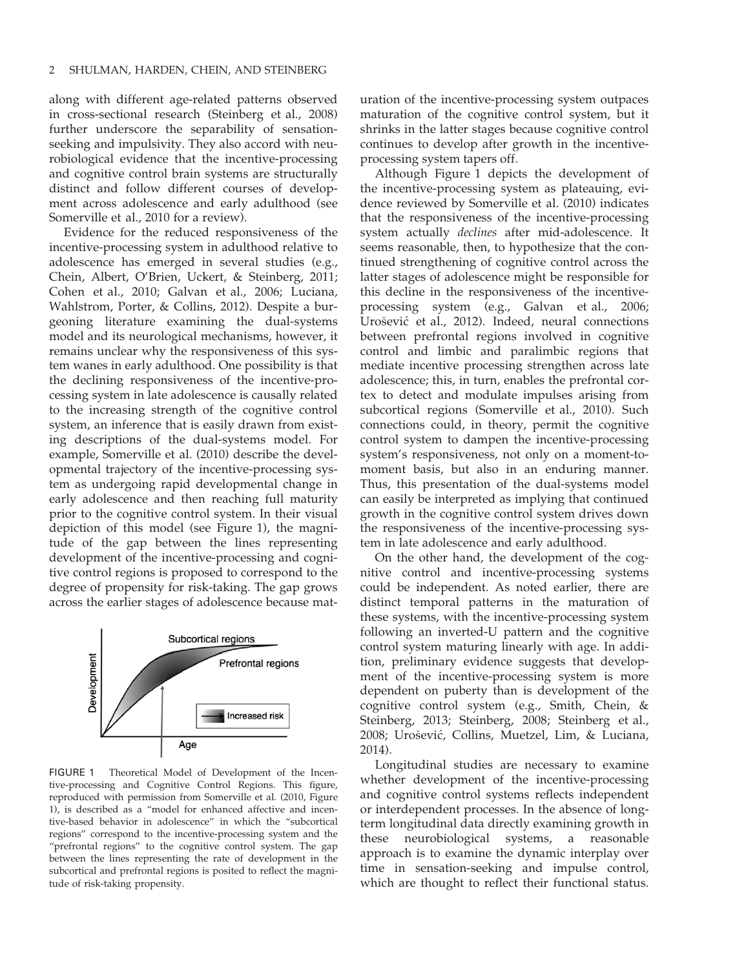along with different age-related patterns observed in cross-sectional research (Steinberg et al., 2008) further underscore the separability of sensationseeking and impulsivity. They also accord with neurobiological evidence that the incentive-processing and cognitive control brain systems are structurally distinct and follow different courses of development across adolescence and early adulthood (see Somerville et al., 2010 for a review).

Evidence for the reduced responsiveness of the incentive-processing system in adulthood relative to adolescence has emerged in several studies (e.g., Chein, Albert, O'Brien, Uckert, & Steinberg, 2011; Cohen et al., 2010; Galvan et al., 2006; Luciana, Wahlstrom, Porter, & Collins, 2012). Despite a burgeoning literature examining the dual-systems model and its neurological mechanisms, however, it remains unclear why the responsiveness of this system wanes in early adulthood. One possibility is that the declining responsiveness of the incentive-processing system in late adolescence is causally related to the increasing strength of the cognitive control system, an inference that is easily drawn from existing descriptions of the dual-systems model. For example, Somerville et al. (2010) describe the developmental trajectory of the incentive-processing system as undergoing rapid developmental change in early adolescence and then reaching full maturity prior to the cognitive control system. In their visual depiction of this model (see Figure 1), the magnitude of the gap between the lines representing development of the incentive-processing and cognitive control regions is proposed to correspond to the degree of propensity for risk-taking. The gap grows across the earlier stages of adolescence because mat-



FIGURE 1 Theoretical Model of Development of the Incentive-processing and Cognitive Control Regions. This figure, reproduced with permission from Somerville et al. (2010, Figure 1), is described as a "model for enhanced affective and incentive-based behavior in adolescence" in which the "subcortical regions" correspond to the incentive-processing system and the "prefrontal regions" to the cognitive control system. The gap between the lines representing the rate of development in the subcortical and prefrontal regions is posited to reflect the magnitude of risk-taking propensity.

uration of the incentive-processing system outpaces maturation of the cognitive control system, but it shrinks in the latter stages because cognitive control continues to develop after growth in the incentiveprocessing system tapers off.

Although Figure 1 depicts the development of the incentive-processing system as plateauing, evidence reviewed by Somerville et al. (2010) indicates that the responsiveness of the incentive-processing system actually *declines* after mid-adolescence. It seems reasonable, then, to hypothesize that the continued strengthening of cognitive control across the latter stages of adolescence might be responsible for this decline in the responsiveness of the incentiveprocessing system (e.g., Galvan et al., 2006; Urosevic et al., 2012). Indeed, neural connections between prefrontal regions involved in cognitive control and limbic and paralimbic regions that mediate incentive processing strengthen across late adolescence; this, in turn, enables the prefrontal cortex to detect and modulate impulses arising from subcortical regions (Somerville et al., 2010). Such connections could, in theory, permit the cognitive control system to dampen the incentive-processing system's responsiveness, not only on a moment-tomoment basis, but also in an enduring manner. Thus, this presentation of the dual-systems model can easily be interpreted as implying that continued growth in the cognitive control system drives down the responsiveness of the incentive-processing system in late adolescence and early adulthood.

On the other hand, the development of the cognitive control and incentive-processing systems could be independent. As noted earlier, there are distinct temporal patterns in the maturation of these systems, with the incentive-processing system following an inverted-U pattern and the cognitive control system maturing linearly with age. In addition, preliminary evidence suggests that development of the incentive-processing system is more dependent on puberty than is development of the cognitive control system (e.g., Smith, Chein, & Steinberg, 2013; Steinberg, 2008; Steinberg et al., 2008; Urosevic, Collins, Muetzel, Lim, & Luciana, 2014).

Longitudinal studies are necessary to examine whether development of the incentive-processing and cognitive control systems reflects independent or interdependent processes. In the absence of longterm longitudinal data directly examining growth in these neurobiological systems, a reasonable approach is to examine the dynamic interplay over time in sensation-seeking and impulse control, which are thought to reflect their functional status.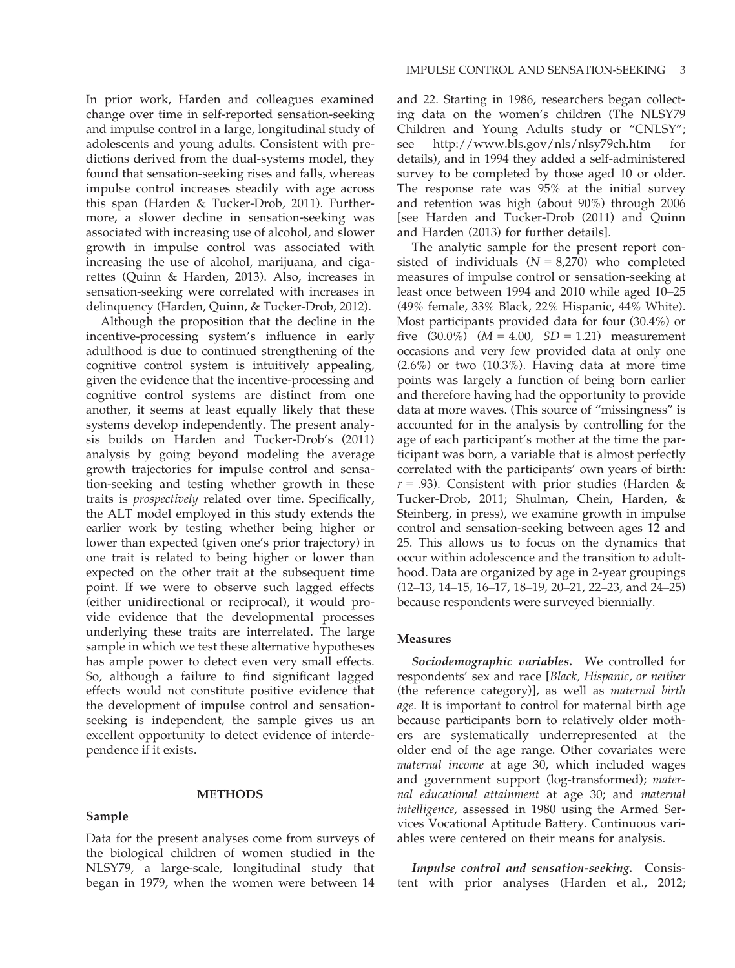In prior work, Harden and colleagues examined change over time in self-reported sensation-seeking and impulse control in a large, longitudinal study of adolescents and young adults. Consistent with predictions derived from the dual-systems model, they found that sensation-seeking rises and falls, whereas impulse control increases steadily with age across this span (Harden & Tucker-Drob, 2011). Further-

more, a slower decline in sensation-seeking was associated with increasing use of alcohol, and slower growth in impulse control was associated with increasing the use of alcohol, marijuana, and cigarettes (Quinn & Harden, 2013). Also, increases in sensation-seeking were correlated with increases in delinquency (Harden, Quinn, & Tucker-Drob, 2012).

Although the proposition that the decline in the incentive-processing system's influence in early adulthood is due to continued strengthening of the cognitive control system is intuitively appealing, given the evidence that the incentive-processing and cognitive control systems are distinct from one another, it seems at least equally likely that these systems develop independently. The present analysis builds on Harden and Tucker-Drob's (2011) analysis by going beyond modeling the average growth trajectories for impulse control and sensation-seeking and testing whether growth in these traits is prospectively related over time. Specifically, the ALT model employed in this study extends the earlier work by testing whether being higher or lower than expected (given one's prior trajectory) in one trait is related to being higher or lower than expected on the other trait at the subsequent time point. If we were to observe such lagged effects (either unidirectional or reciprocal), it would provide evidence that the developmental processes underlying these traits are interrelated. The large sample in which we test these alternative hypotheses has ample power to detect even very small effects. So, although a failure to find significant lagged effects would not constitute positive evidence that the development of impulse control and sensationseeking is independent, the sample gives us an excellent opportunity to detect evidence of interdependence if it exists.

# METHODS

#### Sample

Data for the present analyses come from surveys of the biological children of women studied in the NLSY79, a large-scale, longitudinal study that began in 1979, when the women were between 14 and 22. Starting in 1986, researchers began collecting data on the women's children (The NLSY79 Children and Young Adults study or "CNLSY"; see http://www.bls.gov/nls/nlsy79ch.htm for details), and in 1994 they added a self-administered survey to be completed by those aged 10 or older. The response rate was 95% at the initial survey and retention was high (about 90%) through 2006 [see Harden and Tucker-Drob (2011) and Quinn and Harden (2013) for further details].

The analytic sample for the present report consisted of individuals  $(N = 8,270)$  who completed measures of impulse control or sensation-seeking at least once between 1994 and 2010 while aged 10–25 (49% female, 33% Black, 22% Hispanic, 44% White). Most participants provided data for four (30.4%) or five  $(30.0\%)$   $(M = 4.00, SD = 1.21)$  measurement occasions and very few provided data at only one (2.6%) or two (10.3%). Having data at more time points was largely a function of being born earlier and therefore having had the opportunity to provide data at more waves. (This source of "missingness" is accounted for in the analysis by controlling for the age of each participant's mother at the time the participant was born, a variable that is almost perfectly correlated with the participants' own years of birth:  $r = .93$ ). Consistent with prior studies (Harden & Tucker-Drob, 2011; Shulman, Chein, Harden, & Steinberg, in press), we examine growth in impulse control and sensation-seeking between ages 12 and 25. This allows us to focus on the dynamics that occur within adolescence and the transition to adulthood. Data are organized by age in 2-year groupings (12–13, 14–15, 16–17, 18–19, 20–21, 22–23, and 24–25) because respondents were surveyed biennially.

## Measures

Sociodemographic variables. We controlled for respondents' sex and race [Black, Hispanic, or neither (the reference category)], as well as maternal birth age. It is important to control for maternal birth age because participants born to relatively older mothers are systematically underrepresented at the older end of the age range. Other covariates were maternal income at age 30, which included wages and government support (log-transformed); maternal educational attainment at age 30; and maternal intelligence, assessed in 1980 using the Armed Services Vocational Aptitude Battery. Continuous variables were centered on their means for analysis.

Impulse control and sensation-seeking. Consistent with prior analyses (Harden et al., 2012;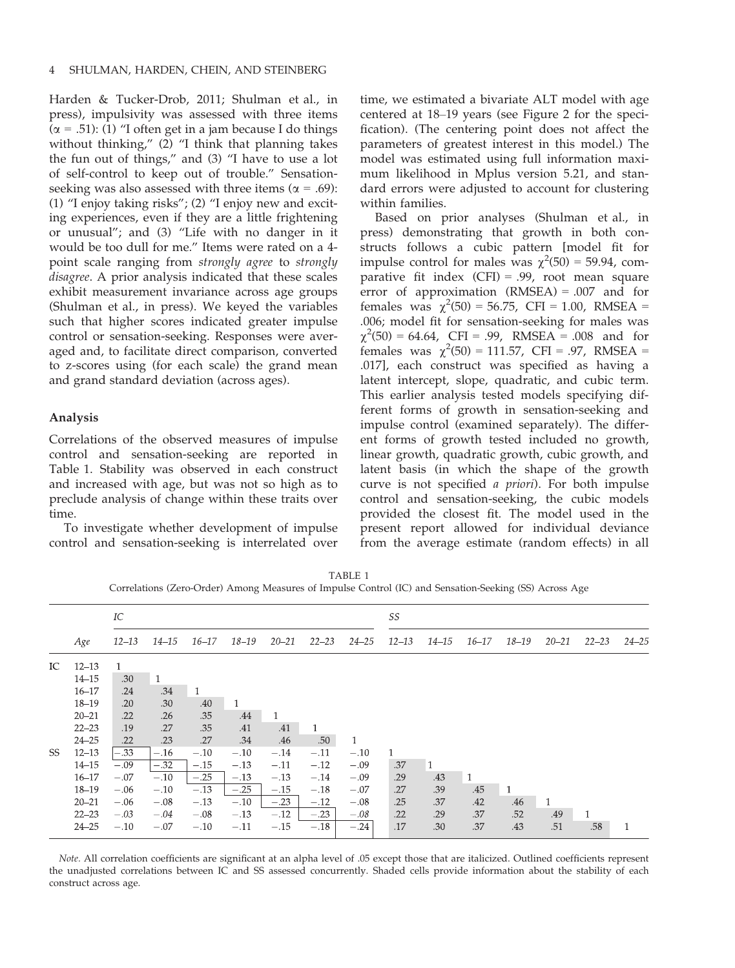Harden & Tucker-Drob, 2011; Shulman et al., in press), impulsivity was assessed with three items  $(\alpha = .51)$ : (1) "I often get in a jam because I do things without thinking," (2) "I think that planning takes the fun out of things," and (3) "I have to use a lot of self-control to keep out of trouble." Sensationseeking was also assessed with three items ( $\alpha = .69$ ): (1) "I enjoy taking risks"; (2) "I enjoy new and exciting experiences, even if they are a little frightening or unusual"; and (3) "Life with no danger in it would be too dull for me." Items were rated on a 4 point scale ranging from strongly agree to strongly disagree. A prior analysis indicated that these scales exhibit measurement invariance across age groups (Shulman et al., in press). We keyed the variables such that higher scores indicated greater impulse control or sensation-seeking. Responses were averaged and, to facilitate direct comparison, converted to z-scores using (for each scale) the grand mean and grand standard deviation (across ages).

## Analysis

Correlations of the observed measures of impulse control and sensation-seeking are reported in Table 1. Stability was observed in each construct and increased with age, but was not so high as to preclude analysis of change within these traits over time.

To investigate whether development of impulse control and sensation-seeking is interrelated over time, we estimated a bivariate ALT model with age centered at 18–19 years (see Figure 2 for the specification). (The centering point does not affect the parameters of greatest interest in this model.) The model was estimated using full information maximum likelihood in Mplus version 5.21, and standard errors were adjusted to account for clustering within families.

Based on prior analyses (Shulman et al., in press) demonstrating that growth in both constructs follows a cubic pattern [model fit for impulse control for males was  $\chi^2(50) = 59.94$ , comparative fit index (CFI) = .99, root mean square error of approximation (RMSEA) = .007 and for females was  $\chi^2(50) = 56.75$ , CFI = 1.00, RMSEA = .006; model fit for sensation-seeking for males was  $\chi^2(50) = 64.64$ , CFI = .99, RMSEA = .008 and for females was  $\chi^2(50) = 111.57$ , CFI = .97, RMSEA = .017], each construct was specified as having a latent intercept, slope, quadratic, and cubic term. This earlier analysis tested models specifying different forms of growth in sensation-seeking and impulse control (examined separately). The different forms of growth tested included no growth, linear growth, quadratic growth, cubic growth, and latent basis (in which the shape of the growth curve is not specified a priori). For both impulse control and sensation-seeking, the cubic models provided the closest fit. The model used in the present report allowed for individual deviance from the average estimate (random effects) in all

TABLE 1 Correlations (Zero-Order) Among Measures of Impulse Control (IC) and Sensation-Seeking (SS) Across Age

|           | IC        |           |           |              |           |           |              | SS        |              |           |       |           |           |           |
|-----------|-----------|-----------|-----------|--------------|-----------|-----------|--------------|-----------|--------------|-----------|-------|-----------|-----------|-----------|
| Age       | $12 - 13$ | $14 - 15$ | $16 - 17$ | 18–19        | $20 - 21$ | $22 - 23$ | $24 - 25$    | $12 - 13$ | 14–15        | $16 - 17$ | 18-19 | $20 - 21$ | $22 - 23$ | $24 - 25$ |
| $12 - 13$ |           |           |           |              |           |           |              |           |              |           |       |           |           |           |
| $14 - 15$ | .30       | 1         |           |              |           |           |              |           |              |           |       |           |           |           |
| $16 - 17$ | .24       | .34       | 1         |              |           |           |              |           |              |           |       |           |           |           |
| $18 - 19$ | .20       | .30       | .40       | $\mathbf{1}$ |           |           |              |           |              |           |       |           |           |           |
| $20 - 21$ | .22       | .26       | .35       | .44          |           |           |              |           |              |           |       |           |           |           |
| $22 - 23$ | .19       | .27       | .35       | .41          | .41       |           |              |           |              |           |       |           |           |           |
| $24 - 25$ | .22       | .23       | .27       | .34          | .46       | .50       | $\mathbf{1}$ |           |              |           |       |           |           |           |
| $12 - 13$ | -.33      | $-.16$    | $-.10$    | $-.10$       | $-.14$    | $-.11$    | $-.10$       |           |              |           |       |           |           |           |
| $14 - 15$ | $-.09$    | $-.32$    | $-.15$    | $-.13$       | $-.11$    | $-.12$    | $-.09$       | .37       | $\mathbf{1}$ |           |       |           |           |           |
| $16 - 17$ | $-.07$    | $-.10$    | $-.25$    | $-.13$       | $-.13$    | $-.14$    | $-.09$       | .29       | .43          | 1         |       |           |           |           |
| $18 - 19$ | $-.06$    | $-.10$    | $-.13$    | $-.25$       | $-.15$    | $-.18$    | $-.07$       | .27       | .39          | .45       | 1     |           |           |           |
| $20 - 21$ | $-.06$    | $-.08$    | $-.13$    | $-.10$       | $-.23$    | $-.12$    | $-.08$       | .25       | .37          | .42       | .46   | 1         |           |           |
| $22 - 23$ | $-.03$    | $-.04$    | $-.08$    | $-.13$       | $-.12$    | $-.23$    | $-.08$       | .22       | .29          | .37       | .52   | .49       |           |           |
| $24 - 25$ | $-.10$    | $-.07$    | $-.10$    | $-.11$       | $-.15$    | $-.18$    | $-.24$       | .17       | .30          | .37       | .43   | .51       | .58       |           |
|           |           |           |           |              |           |           |              |           |              |           |       |           |           |           |

Note. All correlation coefficients are significant at an alpha level of .05 except those that are italicized. Outlined coefficients represent the unadjusted correlations between IC and SS assessed concurrently. Shaded cells provide information about the stability of each construct across age.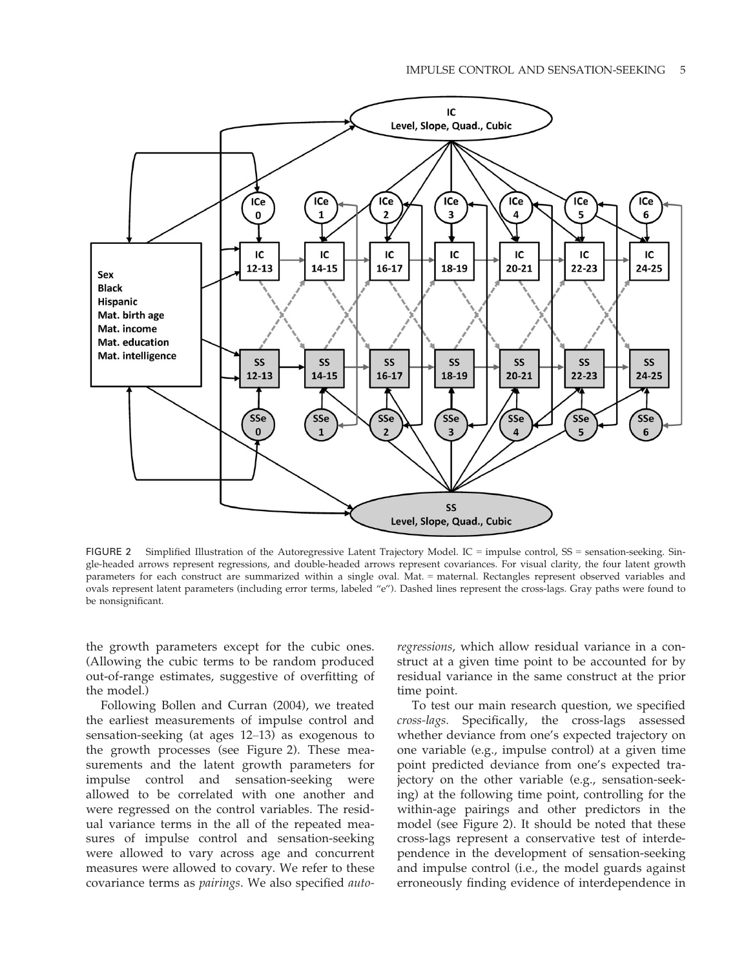

FIGURE 2 Simplified Illustration of the Autoregressive Latent Trajectory Model. IC = impulse control, SS = sensation-seeking. Single-headed arrows represent regressions, and double-headed arrows represent covariances. For visual clarity, the four latent growth parameters for each construct are summarized within a single oval. Mat. = maternal. Rectangles represent observed variables and ovals represent latent parameters (including error terms, labeled "e"). Dashed lines represent the cross-lags. Gray paths were found to be nonsignificant.

the growth parameters except for the cubic ones. (Allowing the cubic terms to be random produced out-of-range estimates, suggestive of overfitting of the model.)

Following Bollen and Curran (2004), we treated the earliest measurements of impulse control and sensation-seeking (at ages 12–13) as exogenous to the growth processes (see Figure 2). These measurements and the latent growth parameters for impulse control and sensation-seeking were allowed to be correlated with one another and were regressed on the control variables. The residual variance terms in the all of the repeated measures of impulse control and sensation-seeking were allowed to vary across age and concurrent measures were allowed to covary. We refer to these covariance terms as pairings. We also specified autoregressions, which allow residual variance in a construct at a given time point to be accounted for by residual variance in the same construct at the prior time point.

To test our main research question, we specified cross-lags. Specifically, the cross-lags assessed whether deviance from one's expected trajectory on one variable (e.g., impulse control) at a given time point predicted deviance from one's expected trajectory on the other variable (e.g., sensation-seeking) at the following time point, controlling for the within-age pairings and other predictors in the model (see Figure 2). It should be noted that these cross-lags represent a conservative test of interdependence in the development of sensation-seeking and impulse control (i.e., the model guards against erroneously finding evidence of interdependence in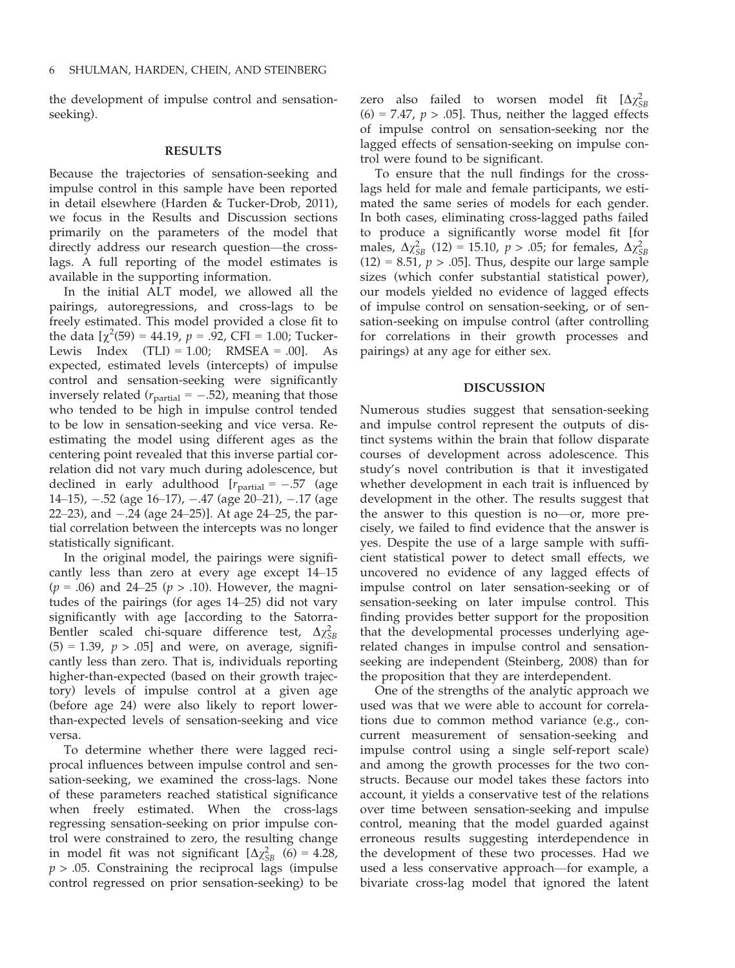the development of impulse control and sensationseeking).

### RESULTS

Because the trajectories of sensation-seeking and impulse control in this sample have been reported in detail elsewhere (Harden & Tucker-Drob, 2011), we focus in the Results and Discussion sections primarily on the parameters of the model that directly address our research question—the crosslags. A full reporting of the model estimates is available in the supporting information.

In the initial ALT model, we allowed all the pairings, autoregressions, and cross-lags to be freely estimated. This model provided a close fit to the data  $\lbrack \chi^2(59) = 44.19, p = .92, CFI = 1.00; Tucker-$ Lewis Index  $(TLI) = 1.00$ ; RMSEA = .00]. As expected, estimated levels (intercepts) of impulse control and sensation-seeking were significantly inversely related ( $r_{\text{partial}} = -.52$ ), meaning that those who tended to be high in impulse control tended to be low in sensation-seeking and vice versa. Reestimating the model using different ages as the centering point revealed that this inverse partial correlation did not vary much during adolescence, but declined in early adulthood  $[r_{\text{partial}}] = -.57$  (age  $14-15$ ),  $-.52$  (age  $16-17$ ),  $-.47$  (age  $20-21$ ),  $-.17$  (age 22–23), and  $-.24$  (age 24–25)]. At age 24–25, the partial correlation between the intercepts was no longer statistically significant.

In the original model, the pairings were significantly less than zero at every age except 14–15  $(p = .06)$  and 24–25  $(p > .10)$ . However, the magnitudes of the pairings (for ages 14–25) did not vary significantly with age [according to the Satorra-Bentler scaled chi-square difference test,  $\Delta \chi_{SB}^2$  $(5) = 1.39$ ,  $p > .05$ ] and were, on average, significantly less than zero. That is, individuals reporting higher-than-expected (based on their growth trajectory) levels of impulse control at a given age (before age 24) were also likely to report lowerthan-expected levels of sensation-seeking and vice versa.

To determine whether there were lagged reciprocal influences between impulse control and sensation-seeking, we examined the cross-lags. None of these parameters reached statistical significance when freely estimated. When the cross-lags regressing sensation-seeking on prior impulse control were constrained to zero, the resulting change in model fit was not significant  $[\Delta \chi_{SB}^2 \ (6) = 4.28$ ,  $p > .05$ . Constraining the reciprocal lags (impulse control regressed on prior sensation-seeking) to be

zero also failed to worsen model fit  $[\Delta \chi^2_{SB}$  $(6)$  = 7.47,  $p > .05$ ]. Thus, neither the lagged effects of impulse control on sensation-seeking nor the lagged effects of sensation-seeking on impulse control were found to be significant.

To ensure that the null findings for the crosslags held for male and female participants, we estimated the same series of models for each gender. In both cases, eliminating cross-lagged paths failed to produce a significantly worse model fit [for males,  $\Delta \chi_{SB}^2$  (12) = 15.10,  $p > .05$ ; for females,  $\Delta \chi_{SB}^2$  $(12) = 8.51, p > .05$ . Thus, despite our large sample sizes (which confer substantial statistical power), our models yielded no evidence of lagged effects of impulse control on sensation-seeking, or of sensation-seeking on impulse control (after controlling for correlations in their growth processes and pairings) at any age for either sex.

#### DISCUSSION

Numerous studies suggest that sensation-seeking and impulse control represent the outputs of distinct systems within the brain that follow disparate courses of development across adolescence. This study's novel contribution is that it investigated whether development in each trait is influenced by development in the other. The results suggest that the answer to this question is no—or, more precisely, we failed to find evidence that the answer is yes. Despite the use of a large sample with sufficient statistical power to detect small effects, we uncovered no evidence of any lagged effects of impulse control on later sensation-seeking or of sensation-seeking on later impulse control. This finding provides better support for the proposition that the developmental processes underlying agerelated changes in impulse control and sensationseeking are independent (Steinberg, 2008) than for the proposition that they are interdependent.

One of the strengths of the analytic approach we used was that we were able to account for correlations due to common method variance (e.g., concurrent measurement of sensation-seeking and impulse control using a single self-report scale) and among the growth processes for the two constructs. Because our model takes these factors into account, it yields a conservative test of the relations over time between sensation-seeking and impulse control, meaning that the model guarded against erroneous results suggesting interdependence in the development of these two processes. Had we used a less conservative approach—for example, a bivariate cross-lag model that ignored the latent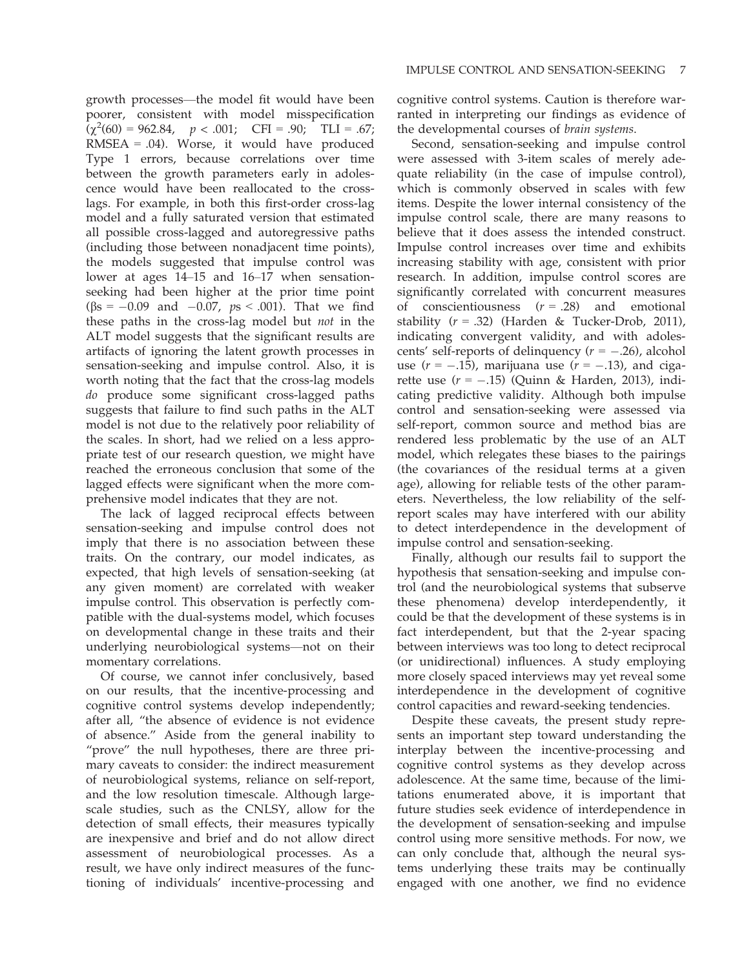growth processes—the model fit would have been poorer, consistent with model misspecification  $(\chi^2(60) = 962.84, p < .001; \quad \text{CFI} = .90; \quad \text{TLI} = .67;$  $RMSEA = .04$ ). Worse, it would have produced Type 1 errors, because correlations over time between the growth parameters early in adolescence would have been reallocated to the cross-

lags. For example, in both this first-order cross-lag model and a fully saturated version that estimated all possible cross-lagged and autoregressive paths (including those between nonadjacent time points), the models suggested that impulse control was lower at ages 14–15 and 16–17 when sensationseeking had been higher at the prior time point  $(\beta s = -0.09 \text{ and } -0.07, \text{ ps } < .001)$ . That we find these paths in the cross-lag model but not in the ALT model suggests that the significant results are artifacts of ignoring the latent growth processes in sensation-seeking and impulse control. Also, it is worth noting that the fact that the cross-lag models do produce some significant cross-lagged paths suggests that failure to find such paths in the ALT model is not due to the relatively poor reliability of the scales. In short, had we relied on a less appropriate test of our research question, we might have reached the erroneous conclusion that some of the lagged effects were significant when the more comprehensive model indicates that they are not.

The lack of lagged reciprocal effects between sensation-seeking and impulse control does not imply that there is no association between these traits. On the contrary, our model indicates, as expected, that high levels of sensation-seeking (at any given moment) are correlated with weaker impulse control. This observation is perfectly compatible with the dual-systems model, which focuses on developmental change in these traits and their underlying neurobiological systems—not on their momentary correlations.

Of course, we cannot infer conclusively, based on our results, that the incentive-processing and cognitive control systems develop independently; after all, "the absence of evidence is not evidence of absence." Aside from the general inability to "prove" the null hypotheses, there are three primary caveats to consider: the indirect measurement of neurobiological systems, reliance on self-report, and the low resolution timescale. Although largescale studies, such as the CNLSY, allow for the detection of small effects, their measures typically are inexpensive and brief and do not allow direct assessment of neurobiological processes. As a result, we have only indirect measures of the functioning of individuals' incentive-processing and

cognitive control systems. Caution is therefore warranted in interpreting our findings as evidence of the developmental courses of brain systems.

Second, sensation-seeking and impulse control were assessed with 3-item scales of merely adequate reliability (in the case of impulse control), which is commonly observed in scales with few items. Despite the lower internal consistency of the impulse control scale, there are many reasons to believe that it does assess the intended construct. Impulse control increases over time and exhibits increasing stability with age, consistent with prior research. In addition, impulse control scores are significantly correlated with concurrent measures of conscientiousness  $(r = .28)$  and emotional stability  $(r = .32)$  (Harden & Tucker-Drob, 2011), indicating convergent validity, and with adolescents' self-reports of delinquency ( $r = -.26$ ), alcohol use  $(r = -.15)$ , marijuana use  $(r = -.13)$ , and cigarette use  $(r = -.15)$  (Quinn & Harden, 2013), indicating predictive validity. Although both impulse control and sensation-seeking were assessed via self-report, common source and method bias are rendered less problematic by the use of an ALT model, which relegates these biases to the pairings (the covariances of the residual terms at a given age), allowing for reliable tests of the other parameters. Nevertheless, the low reliability of the selfreport scales may have interfered with our ability to detect interdependence in the development of impulse control and sensation-seeking.

Finally, although our results fail to support the hypothesis that sensation-seeking and impulse control (and the neurobiological systems that subserve these phenomena) develop interdependently, it could be that the development of these systems is in fact interdependent, but that the 2-year spacing between interviews was too long to detect reciprocal (or unidirectional) influences. A study employing more closely spaced interviews may yet reveal some interdependence in the development of cognitive control capacities and reward-seeking tendencies.

Despite these caveats, the present study represents an important step toward understanding the interplay between the incentive-processing and cognitive control systems as they develop across adolescence. At the same time, because of the limitations enumerated above, it is important that future studies seek evidence of interdependence in the development of sensation-seeking and impulse control using more sensitive methods. For now, we can only conclude that, although the neural systems underlying these traits may be continually engaged with one another, we find no evidence